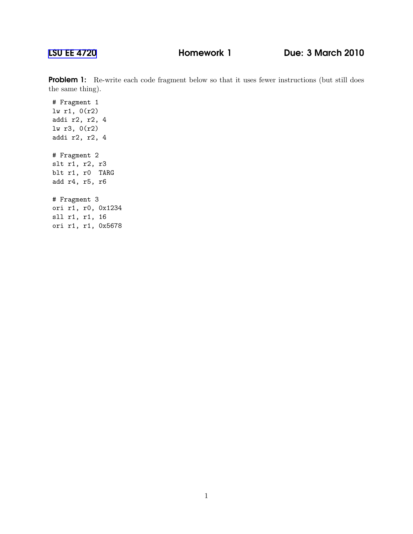## [LSU EE 4720](http://www.ece.lsu.edu/ee4720/) Homework 1 Due: 3 March 2010

**Problem 1:** Re-write each code fragment below so that it uses fewer instructions (but still does the same thing).

# Fragment 1 lw r1, 0(r2) addi r2, r2, 4 lw r3, 0(r2) addi r2, r2, 4 # Fragment 2 slt r1, r2, r3 blt r1, r0 TARG add r4, r5, r6 # Fragment 3 ori r1, r0, 0x1234 sll r1, r1, 16

ori r1, r1, 0x5678